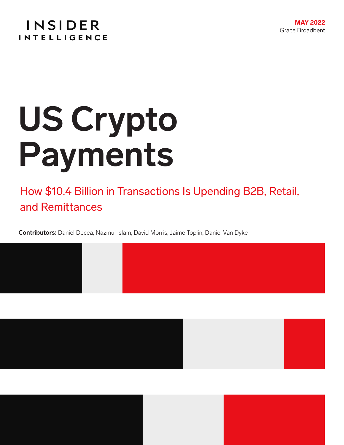### **INSIDER INTELLIGENCE**

# **US Crypto Payments**

How \$10.4 Billion in Transactions Is Upending B2B, Retail, and Remittances

**Contributors:** Daniel Decea, Nazmul Islam, David Morris, Jaime Toplin, Daniel Van Dyke





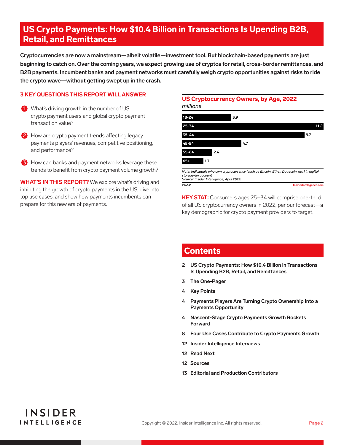### US Crypto Payments: How \$10.4 Billion in Transactions Is Upending B2B, Retail, and Remittances

**Cryptocurrencies are now a mainstream—albeit volatile—investment tool. But blockchain-based payments are just beginning to catch on. Over the coming years, we expect growing use of cryptos for retail, cross-border remittances, and B2B payments. Incumbent banks and payment networks must carefully weigh crypto opportunities against risks to ride the crypto wave—without getting swept up in the crash.**

#### **3 KEY QUESTIONS THIS REPORT WILL ANSWER**

- 1 What's driving growth in the number of US crypto payment users and global crypto payment transaction value?
- 2 How are crypto payment trends affecting legacy payments players' revenues, competitive positioning, and performance?
- **3** How can banks and payment networks leverage these trends to benefit from crypto payment volume growth?

**WHAT'S IN THIS REPORT?** We explore what's driving and inhibiting the growth of crypto payments in the US, dive into top use cases, and show how payments incumbents can prepare for this new era of payments.

#### *millions* US Cryptocurrency Owners, by Age, 2022



*Source: Insider Intelligence, April 2022*

**KEY STAT:** Consumers ages 25–34 will comprise one-third of all US cryptocurrency owners in 2022, per our forecast—a key demographic for crypto payment providers to target.

**274641 InsiderIntelligence.com**

### **Contents**

- **2 US Crypto Payments: How \$10.4 Billion in Transactions Is Upending B2B, Retail, and Remittances**
- **3 [The One-Pager](#page-2-0)**
- **4 [Key Points](#page-3-0)**
- **4 [Payments Players Are Turning Crypto Ownership Into a](#page-3-0)  [Payments Opportunity](#page-3-0)**
- **4 [Nascent-Stage Crypto Payments Growth Rockets](#page-3-0)  [Forward](#page-3-0)**
- **8 [Four Use Cases Contribute to Crypto Payments Growth](#page-7-0)**
- **12 [Insider Intelligence Interviews](#page-11-0)**
- **12 [Read Next](#page-11-0)**
- **12 [Sources](#page-11-0)**
- **13 [Editorial and Production Contributors](#page-12-0)**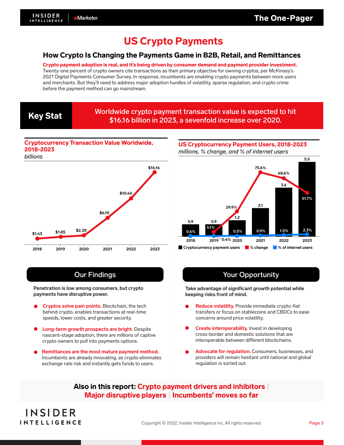### US Crypto Payments

#### <span id="page-2-0"></span>How Crypto Is Changing the Payments Game in B2B, Retail, and Remittances

Crypto payment adoption is real, and it's being driven by consumer demand and payment provider investment. Twenty-one percent of crypto owners cite transactions as their primary objective for owning cryptos, per McKinsey's 2021 Digital Payments Consumer Survey. In response, incumbents are enabling crypto payments between more users and merchants. But they'll need to address major adoption hurdles of volatility, sparse regulation, and crypto crime before the payment method can go mainstream.

Key Stat

#### Worldwide crypto payment transaction value is expected to hit \$16.16 billion in 2023, a sevenfold increase over 2020.

#### **Cryptocurrency Transaction Value Worldwide,** 2018-2023



#### US Cryptocurrency Payment Users, 2018-2023 millions, % change, and % of internet users



**Penetration is low among consumers, but crypto payments have disruptive power.** 

- **Cryptos solve pain points.** Blockchain, the tech behind crypto, enables transactions at real-time speeds, lower costs, and greater security.
- **Long-term growth prospects are bright.** Despite nascent-stage adoption, there are millions of captive crypto owners to pull into payments options.
- **Remittances are the most mature payment method.**  Incumbents are already innovating, as crypto eliminates exchange rate risk and instantly gets funds to users.

**INSIDER INTELLIGENCE** 

#### **Our Findings The Course of the Course of The Course Our Findings**

**Take advantage of significant growth potential while keeping risks front of mind.**

- **Reduce volatility.** Provide immediate crypto-fiat transfers or focus on stablecoins and CBDCs to ease concerns around price volatility.
- **Create interoperability.** Invest in developing cross-border and domestic solutions that are interoperable between different blockchains.
- **Advocate for regulation.** Consumers, businesses, and providers will remain hesitant until national and global regulation is sorted out.

#### Also in this report: Crypto payment drivers and inhibitors | Major disruptive players | Incumbents' moves so far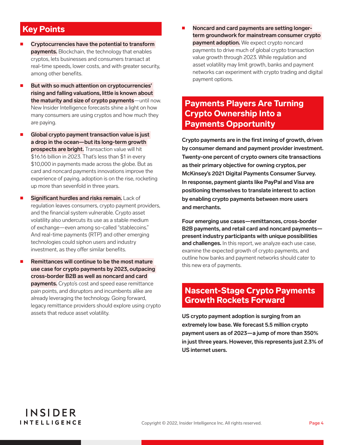### <span id="page-3-0"></span>Key Points

- **Cryptocurrencies have the potential to transform payments.** Blockchain, the technology that enables cryptos, lets businesses and consumers transact at real-time speeds, lower costs, and with greater security, among other benefits.
- But with so much attention on cryptocurrencies' **rising and falling valuations, little is known about the maturity and size of crypto payments**—until now. New Insider Intelligence forecasts shine a light on how many consumers are using cryptos and how much they are paying.
- **Global crypto payment transaction value is just a drop in the ocean—but its long-term growth prospects are bright.** Transaction value will hit \$16.16 billion in 2023. That's less than \$1 in every \$10,000 in payments made across the globe. But as card and noncard payments innovations improve the experience of paying, adoption is on the rise, rocketing up more than sevenfold in three years.
- **Significant hurdles and risks remain.** Lack of regulation leaves consumers, crypto payment providers, and the financial system vulnerable. Crypto asset volatility also undercuts its use as a stable medium of exchange—even among so-called "stablecoins." And real-time payments (RTP) and other emerging technologies could siphon users and industry investment, as they offer similar benefits.
- **Remittances will continue to be the most mature use case for crypto payments by 2023, outpacing cross-border B2B as well as noncard and card payments.** Crypto's cost and speed ease remittance pain points, and disruptors and incumbents alike are already leveraging the technology. Going forward, legacy remittance providers should explore using crypto assets that reduce asset volatility.

Noncard and card payments are setting longer**term groundwork for mainstream consumer crypto payment adoption.** We expect crypto noncard payments to drive much of global crypto transaction value growth through 2023. While regulation and asset volatility may limit growth, banks and payment networks can experiment with crypto trading and digital payment options.

### Payments Players Are Turning Crypto Ownership Into a Payments Opportunity

**Crypto payments are in the first inning of growth, driven by consumer demand and payment provider investment. Twenty-one percent of crypto owners cite transactions as their primary objective for owning cryptos, per McKinsey's 2021 Digital Payments Consumer Survey. In response, payment giants like PayPal and Visa are positioning themselves to translate interest to action by enabling crypto payments between more users and merchants.**

**Four emerging use cases—remittances, cross-border B2B payments, and retail card and noncard payments present industry participants with unique possibilities and challenges.** In this report, we analyze each use case, examine the expected growth of crypto payments, and outline how banks and payment networks should cater to this new era of payments.

#### Nascent-Stage Crypto Payments Growth Rockets Forward

**US crypto payment adoption is surging from an extremely low base. We forecast 5.5 million crypto payment users as of 2023—a jump of more than 350% in just three years. However, this represents just 2.3% of US internet users.**

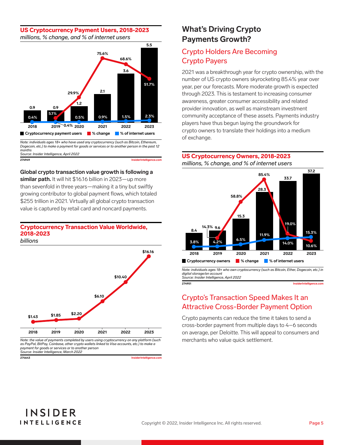#### *millions, % change, and % of internet users* US Cryptocurrency Payment Users, 2018-2023



*Note: individuals ages 18+ who have used any cryptocurrency (such as Bitcoin, Ethereum, Dogecoin, etc.) to make a payment for goods or services or to another person in the past 12 months Source: Insider Intelligence, April 2022*

**274949 InsiderIntelligence.com**

#### **Global crypto transaction value growth is following a**

**similar path.** It will hit \$16.16 billion in 2023—up more than sevenfold in three years—making it a tiny but swiftly growing contributor to global payment flows, which totaled \$255 trillion in 2021. Virtually all global crypto transaction value is captured by retail card and noncard payments.

#### Cryptocurrency Transaction Value Worldwide, 2018-2023



*Note: the value of payments completed by users using cryptocurrency on any platform (such as PayPal, BitPay, Coinbase, other crypto wallets linked to Visa accounts, etc.) to make a payment for goods or services or to another person Source: Insider Intelligence, March 2022*

**274643 InsiderIntelligence.** 

### **What's Driving Crypto Payments Growth?**

#### Crypto Holders Are Becoming Crypto Payers

2021 was a breakthrough year for crypto ownership, with the number of US crypto owners skyrocketing 85.4% year over year, per our forecasts. More moderate growth is expected through 2023. This is testament to increasing consumer awareness, greater consumer accessibility and related provider innovation, as well as mainstream investment community acceptance of these assets. Payments industry players have thus begun laying the groundwork for crypto owners to translate their holdings into a medium of exchange.

*millions, % change, and % of internet users* US Cryptocurrency Owners, 2018-2023



*Note: individuals ages 18+ who own cryptocurrency (such as Bitcoin, Ether, Dogecoin, etc.) in digital storage/an account Source: Insider Intelligence, April 2022*

**274951 InsiderIntelligence.com**

#### Crypto's Transaction Speed Makes It an Attractive Cross-Border Payment Option

Crypto payments can reduce the time it takes to send a cross-border payment from multiple days to 4–6 seconds on average, per Deloitte. This will appeal to consumers and merchants who value quick settlement.

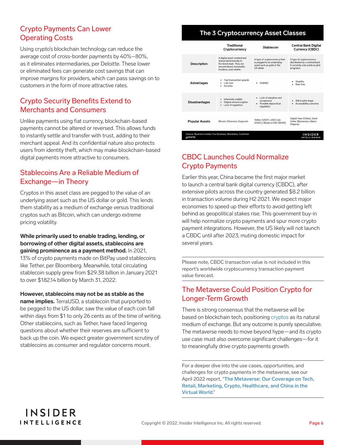#### Crypto Payments Can Lower Operating Costs

Using crypto's blockchain technology can reduce the average cost of cross-border payments by 40%–80%, as it eliminates intermediaries, per Deloitte. These lower or eliminated fees can generate cost savings that can improve margins for providers, which can pass savings on to customers in the form of more attractive rates.

#### Crypto Security Benefits Extend to Merchants and Consumers

Unlike payments using fiat currency, blockchain-based payments cannot be altered or reversed. This allows funds to instantly settle and transfer with trust, adding to their merchant appeal. And its confidential nature also protects users from identity theft, which may make blockchain-based digital payments more attractive to consumers.

#### Stablecoins Are a Reliable Medium of Exchange—in Theory

Cryptos in this asset class are pegged to the value of an underlying asset such as the US dollar or gold. This lends them stability as a medium of exchange versus traditional cryptos such as Bitcoin, which can undergo extreme pricing volatility.

**While primarily used to enable trading, lending, or borrowing of other digital assets, stablecoins are gaining prominence as a payment method.** In 2021, 13% of crypto payments made on BitPay used stablecoins like Tether, per Bloomberg. Meanwhile, total circulating stablecoin supply grew from \$29.38 billion in January 2021 to over \$182.14 billion by March 31, 2022.

**However, stablecoins may not be as stable as the name implies.** TerraUSD, a stablecoin that purported to be pegged to the US dollar, saw the value of each coin fall within days from \$1 to only 26 cents as of the time of writing. Other stablecoins, such as Tether, have faced lingering questions about whether their reserves are sufficient to back up the coin. We expect greater government scrutiny of stablecoins as consumer and regulator concerns mount.

#### The 3 Cryptocurrency Asset Classes

|                                                                                                                 | Traditional<br>Cryptocurrency                                                                                                                | Stablecoin                                                                                             | <b>Central Bank Digital</b><br>Currency (CBDC)                                                               |
|-----------------------------------------------------------------------------------------------------------------|----------------------------------------------------------------------------------------------------------------------------------------------|--------------------------------------------------------------------------------------------------------|--------------------------------------------------------------------------------------------------------------|
| <b>Description</b>                                                                                              | A digital asset created and<br>stored electronically in<br>the blockchain. They are<br>decentralized, immutable.<br>trustless, and volatile. | A type of cryptocurrency that<br>is pegged to an underlying<br>asset such as gold or the<br>US dollar. | A type of cryptocurrency<br>distributed by a central bank.<br>It currently only exists in pilot<br>programs. |
| Advantages                                                                                                      | Fast transaction speeds<br>Low cost<br>Security                                                                                              | Stability<br>٠                                                                                         | Stability<br>Risk-free                                                                                       |
| <b>Disadvantages</b>                                                                                            | Inherently volatile<br>٠<br>Stigma around cryptos<br>٠<br>Lack of regulation<br>٠                                                            | Lack of adoption and<br>٠<br>acceptance<br>Possible impractical<br>regulation                          | Still in pilot stage<br>Accessibility concerns                                                               |
| <b>Popular Assets</b>                                                                                           | Bitcoin, Ethereum, Dogecoin                                                                                                                  | Tether (USDT), USD Coin<br>(USDC), Binance USD (BUSD)                                                  | Digital Yuan (China), Sand<br>Dollar (Bahamas), eNaira<br>(Nigeria)                                          |
| Source: Business Insider, Fox Business, Blockdata, CoinDesk<br><b>INSIDER</b><br>q274775<br><b>INTELLIGENCE</b> |                                                                                                                                              |                                                                                                        |                                                                                                              |

#### CBDC Launches Could Normalize Crypto Payments

Earlier this year, China became the first major market to launch a central bank digital currency (CBDC), after extensive pilots across the country generated \$8.2 billion in transaction volume during H2 2021. We expect major economies to speed up their efforts to avoid getting left behind as geopolitical stakes rise. This government buy-in will help normalize crypto payments and spur more crypto payment integrations. However, the US likely will not launch a CBDC until after 2023, muting domestic impact for several years.

Please note, CBDC transaction value is not included in this report's worldwide cryptocurrency transaction payment value forecast.

#### The Metaverse Could Position Crypto for Longer-Term Growth

There is strong consensus that the metaverse will be based on blockchain tech, positioning [cryptos](https://prolink.emarketer.com/content/crypto-payments-metaverse-getting-past-hype-position-payment-incumbents-success) as its natural medium of exchange. But any outcome is purely speculative. The metaverse needs to move beyond hype—and its crypto use case must also overcome significant challenges—for it to meaningfully drive crypto payments growth.

For a deeper dive into the use cases, opportunities, and challenges for crypto payments in the metaverse, see our April 2022 report, "**[The Metaverse: Our Coverage on Tech,](https://prolink.emarketer.com/content/the-metaverse?h=Crypto_Payments_in_the_Metaverse)  [Retail, Marketing, Crypto, Healthcare, and China in the](https://prolink.emarketer.com/content/the-metaverse?h=Crypto_Payments_in_the_Metaverse)  [Virtual World](https://prolink.emarketer.com/content/the-metaverse?h=Crypto_Payments_in_the_Metaverse)**."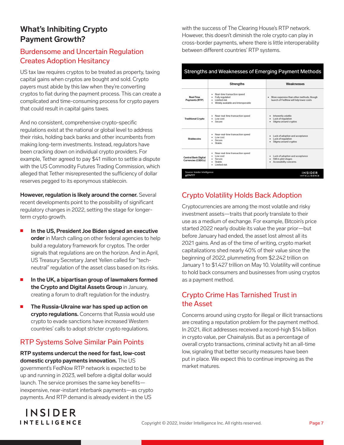### **What's Inhibiting Crypto Payment Growth?**

#### Burdensome and Uncertain Regulation Creates Adoption Hesitancy

US tax law requires cryptos to be treated as property, taxing capital gains when cryptos are bought and sold. Crypto payers must abide by this law when they're converting cryptos to fiat during the payment process. This can create a complicated and time-consuming process for crypto payers that could result in capital gains taxes.

And no consistent, comprehensive crypto-specific regulations exist at the national or global level to address their risks, holding back banks and other incumbents from making long-term investments. Instead, regulators have been cracking down on individual crypto providers. For example, Tether agreed to pay \$41 million to settle a dispute with the US Commodity Futures Trading Commission, which alleged that Tether misrepresented the sufficiency of dollar reserves pegged to its eponymous stablecoin.

**However, regulation is likely around the corner.** Several recent developments point to the possibility of significant regulatory changes in 2022, setting the stage for longerterm crypto growth.

- In the US, President Joe Biden signed an executive **order** in March calling on other federal agencies to help build a regulatory framework for cryptos. The order signals that regulations are on the horizon. And in April, US Treasury Secretary Janet Yellen called for "techneutral" regulation of the asset class based on its risks.
- In the UK, a bipartisan group of lawmakers formed **the Crypto and Digital Assets Group** in January, creating a forum to draft regulation for the industry.
- **The Russia-Ukraine war has sped up action on crypto regulations.** Concerns that Russia would use crypto to evade sanctions have increased Western countries' calls to adopt stricter crypto regulations.

#### RTP Systems Solve Similar Pain Points

**RTP systems undercut the need for fast, low-cost domestic crypto payments innovation.** The US government's FedNow RTP network is expected to be up and running in 2023, well before a digital dollar would launch. The service promises the same key benefits inexpensive, near-instant interbank payments—as crypto payments. And RTP demand is already evident in the US

with the success of The Clearing House's RTP network. However, this doesn't diminish the role crypto can play in cross-border payments, where there is little interoperability between different countries' RTP systems.

#### Strengths and Weaknesses of Emerging Payment Methods

|                                                          | <b>Strengths</b>                                                                                      | Weaknesses                                                                                   |
|----------------------------------------------------------|-------------------------------------------------------------------------------------------------------|----------------------------------------------------------------------------------------------|
| Real-Time<br>Payments (RTP)                              | Real-time transaction speed<br>Fully regulated<br>I imited risk<br>Widely available and interoperable | More expensive than other methods, though<br>launch of FedNow will help lower costs          |
| <b>Traditional Crypto</b>                                | Near-real-time transaction speed<br>Low cost<br>Secure                                                | Inherently volatile<br>٠<br>Lack of regulation<br>٠<br>Stigma around cryptos<br>٠            |
| <b>Stablecoins</b>                                       | Near-real-time transaction speed<br>٠<br>Low cost<br>Secure<br>Stable                                 | Lack of adoption and acceptance<br>Lack of regulation<br>٠<br>Stigma around cryptos<br>٠     |
| <b>Central Bank Digital</b><br><b>Currencies (CBDCs)</b> | Near-real-time transaction speed<br>Low cost<br>Secure<br>Stable<br>Limited risk                      | Lack of adoption and acceptance<br>٠<br>Still in pilot stages<br>Accessibility concerns<br>٠ |
| Source: Insider Intelligence<br>g274777                  |                                                                                                       | <b>INSIDER</b><br><b>INTELLIGENCE</b>                                                        |

#### Crypto Volatility Holds Back Adoption

Cryptocurrencies are among the most volatile and risky investment assets—traits that poorly translate to their use as a medium of exchange. For example, Bitcoin's price started 2022 nearly double its value the year prior—but before January had ended, the asset lost almost all its 2021 gains. And as of the time of writing, crypto market capitalizations shed nearly 40% of their value since the beginning of 2022, plummeting from \$2.242 trillion on January 1 to \$1.427 trillion on May 10. Volatility will continue to hold back consumers and businesses from using cryptos as a payment method.

#### Crypto Crime Has Tarnished Trust in the Asset

Concerns around using crypto for illegal or illicit transactions are creating a reputation problem for the payment method. In 2021, illicit addresses received a record-high \$14 billion in crypto value, per Chainalysis. But as a percentage of overall crypto transactions, criminal activity hit an all-time low, signaling that better security measures have been put in place. We expect this to continue improving as the market matures.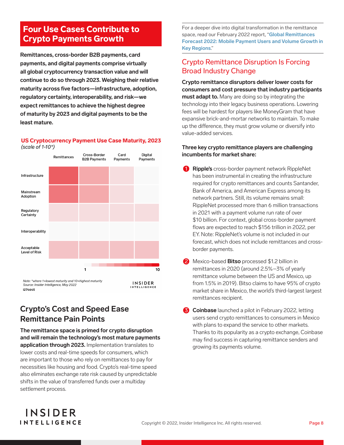### <span id="page-7-0"></span>Four Use Cases Contribute to Crypto Payments Growth

**Remittances, cross-border B2B payments, card payments, and digital payments comprise virtually all global cryptocurrency transaction value and will continue to do so through 2023. Weighing their relative maturity across five factors—infrastructure, adoption, regulatory certainty, interoperability, and risk—we expect remittances to achieve the highest degree of maturity by 2023 and digital payments to be the least mature.**

#### US Cryptocurrency Payment Use Case Maturity, 2023 (scale of  $1-10^*$ )



### **Crypto's Cost and Speed Ease Remittance Pain Points**

**The remittance space is primed for crypto disruption and will remain the technology's most mature payments application through 2023.** Implementation translates to lower costs and real-time speeds for consumers, which are important to those who rely on remittances to pay for necessities like housing and food. Crypto's real-time speed also eliminates exchange rate risk caused by unpredictable shifts in the value of transferred funds over a multiday settlement process.

For a deeper dive into digital transformation in the remittance space, read our February 2022 report, "**[Global Remittances](https://prolink.emarketer.com/content/global-remittances-forecast-2022)  [Forecast 2022: Mobile Payment Users and Volume Growth in](https://prolink.emarketer.com/content/global-remittances-forecast-2022)  [Key Regions](https://prolink.emarketer.com/content/global-remittances-forecast-2022)**."

#### Crypto Remittance Disruption Is Forcing Broad Industry Change

**Crypto remittance disruptors deliver lower costs for consumers and cost pressure that industry participants must adapt to.** Many are doing so by integrating the technology into their legacy business operations. Lowering fees will be hardest for players like MoneyGram that have expansive brick-and-mortar networks to maintain. To make up the difference, they must grow volume or diversify into value-added services.

#### **Three key crypto remittance players are challenging incumbents for market share:**

- 1 **Ripple's** cross-border payment network RippleNet has been instrumental in creating the infrastructure required for crypto remittances and counts Santander, Bank of America, and American Express among its network partners. Still, its volume remains small: RippleNet processed more than 6 million transactions in 2021 with a payment volume run rate of over \$10 billion. For context, global cross-border payment flows are expected to reach \$156 trillion in 2022, per EY. Note: RippleNet's volume is not included in our forecast, which does not include remittances and crossborder payments.
- 2 Mexico-based **Bitso** processed \$1.2 billion in remittances in 2020 (around 2.5%–3% of yearly remittance volume between the US and Mexico, up from 1.5% in 2019). Bitso claims to have 95% of crypto market share in Mexico, the world's third-largest largest remittances recipient.
- **3 Coinbase** launched a pilot in February 2022, letting users send crypto remittances to consumers in Mexico with plans to expand the service to other markets. Thanks to its popularity as a crypto exchange, Coinbase may find success in capturing remittance senders and growing its payments volume.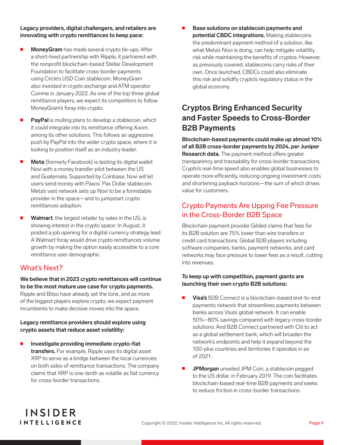**Legacy providers, digital challengers, and retailers are innovating with crypto remittances to keep pace:**

- Money Gram has made several crypto tie-ups. After a short-lived partnership with Ripple, it partnered with the nonprofit blockchain-based Stellar Development Foundation to facilitate cross-border payments using Circle's USD Coin stablecoin. MoneyGram also invested in crypto exchange and ATM operator Coinme in January 2022. As one of the top three global remittance players, we expect its competitors to follow MoneyGram's foray into crypto.
- **PayPal** is mulling plans to develop a stablecoin, which it could integrate into its remittance offering Xoom, among its other solutions. This follows an aggressive push by PayPal into the wider crypto space, where it is looking to position itself as an industry leader.
- **Meta** (formerly Facebook) is testing its digital wallet Novi with a money transfer pilot between the US and Guatemala. Supported by Coinbase, Novi will let users send money with Paxos' Pax Dollar stablecoin. Meta's vast network sets up Novi to be a formidable provider in the space—and to jumpstart crypto remittances adoption.
- **Walmart**, the largest retailer by sales in the US, is showing interest in the crypto space: In August, it posted a job opening for a digital currency strategy lead. A Walmart foray would drive crypto remittances volume growth by making the option easily accessible to a core remittance user demographic.

#### What's Next?

**We believe that in 2023 crypto remittances will continue to be the most mature use case for crypto payments.** Ripple and Bitso have already set the tone, and as more of the biggest players explore crypto, we expect payment incumbents to make decisive moves into the space.

#### **Legacy remittance providers should explore using crypto assets that reduce asset volatility:**

**Investigate providing immediate crypto-fiat transfers.** For example, Ripple uses its digital asset XRP to serve as a bridge between the local currencies on both sides of remittance transactions. The company claims that XRP is one-tenth as volatile as fiat currency for cross-border transactions.

**Base solutions on stablecoin payments and potential CBDC integrations.** Making stablecoins the predominant payment method of a solution, like what Meta's Novi is doing, can help mitigate volatility risk while maintaining the benefits of cryptos. However, as previously covered, stablecoins carry risks of their own. Once launched, CBDCs could also eliminate this risk and solidify crypto's regulatory status in the global economy.

### **Cryptos Bring Enhanced Security and Faster Speeds to Cross-Border B2B Payments**

**Blockchain-based payments could make up almost 10% of all B2B cross-border payments by 2024, per Juniper Research data.** The payment method offers greater transparency and traceability for cross-border transactions. Crypto's real-time speed also enables global businesses to operate more efficiently, reducing ongoing investment costs and shortening payback horizons—the sum of which drives value for customers.

#### Crypto Payments Are Upping Fee Pressure in the Cross-Border B2B Space

Blockchain payment provider Gilded claims that fees for its B2B solution are 75% lower than wire transfers or credit card transactions. Global B2B players including software companies, banks, payment networks, and card networks may face pressure to lower fees as a result, cutting into revenues.

#### **To keep up with competition, payment giants are launching their own crypto B2B solutions:**

- **Visa's** B2B Connect is a blockchain-based end-to-end payments network that streamlines payments between banks across Visa's global network. It can enable 50%–80% savings compared with legacy cross-border solutions. And B2B Connect partnered with Citi to act as a global settlement bank, which will broaden the network's endpoints and help it expand beyond the 100-plus countries and territories it operates in as of 2021.
- **JPMorgan** unveiled JPM Coin, a stablecoin pegged to the US dollar, in February 2019. The coin facilitates blockchain-based real-time B2B payments and seeks to reduce friction in cross-border transactions.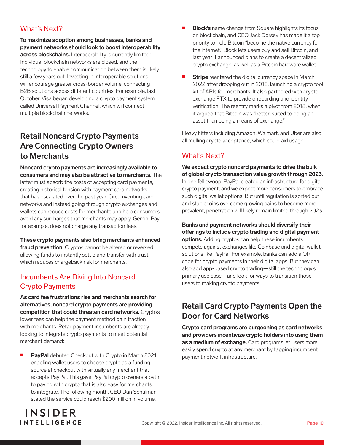#### What's Next?

**To maximize adoption among businesses, banks and payment networks should look to boost interoperability across blockchains.** Interoperability is currently limited: Individual blockchain networks are closed, and the technology to enable communication between them is likely still a few years out. Investing in interoperable solutions will encourage greater cross-border volume, connecting B2B solutions across different countries. For example, last October, Visa began developing a crypto payment system called Universal Payment Channel, which will connect multiple blockchain networks.

### **Retail Noncard Crypto Payments Are Connecting Crypto Owners to Merchants**

**Noncard crypto payments are increasingly available to consumers and may also be attractive to merchants.** The latter must absorb the costs of accepting card payments, creating historical tension with payment card networks that has escalated over the past year. Circumventing card networks and instead going through crypto exchanges and wallets can reduce costs for merchants and help consumers avoid any surcharges that merchants may apply. Gemini Pay, for example, does not charge any transaction fees.

**These crypto payments also bring merchants enhanced fraud prevention.** Cryptos cannot be altered or reversed, allowing funds to instantly settle and transfer with trust, which reduces chargeback risk for merchants.

#### Incumbents Are Diving Into Noncard Crypto Payments

**As card fee frustrations rise and merchants search for alternatives, noncard crypto payments are providing competition that could threaten card networks***.* Crypto's lower fees can help the payment method gain traction with merchants. Retail payment incumbents are already looking to integrate crypto payments to meet potential merchant demand:

PayPal debuted Checkout with Crypto in March 2021, enabling wallet users to choose crypto as a funding source at checkout with virtually any merchant that accepts PayPal. This gave PayPal crypto owners a path to paying with crypto that is also easy for merchants to integrate. The following month, CEO Dan Schulman stated the service could reach \$200 million in volume.

- **Block's** name change from Square highlights its focus on blockchain, and CEO Jack Dorsey has made it a top priority to help Bitcoin "become the native currency for the internet." Block lets users buy and sell Bitcoin, and last year it announced plans to create a decentralized crypto exchange, as well as a Bitcoin hardware wallet.
- **Stripe** reentered the digital currency space in March 2022 after dropping out in 2018, launching a crypto tool kit of APIs for merchants. It also partnered with crypto exchange FTX to provide onboarding and identity verification. The reentry marks a pivot from 2018, when it argued that Bitcoin was "better-suited to being an asset than being a means of exchange."

Heavy hitters including Amazon, Walmart, and Uber are also all mulling crypto acceptance, which could aid usage.

#### What's Next?

**We expect crypto noncard payments to drive the bulk of global crypto transaction value growth through 2023.**  In one fell swoop, PayPal created an infrastructure for digital crypto payment, and we expect more consumers to embrace such digital wallet options. But until regulation is sorted out and stablecoins overcome growing pains to become more prevalent, penetration will likely remain limited through 2023.

**Banks and payment networks should diversify their offerings to include crypto trading and digital payment options.** Adding cryptos can help these incumbents compete against exchanges like Coinbase and digital wallet solutions like PayPal. For example, banks can add a QR code for crypto payments in their digital apps. But they can also add app-based crypto trading—still the technology's primary use case—and look for ways to transition those users to making crypto payments.

### **Retail Card Crypto Payments Open the Door for Card Networks**

**Crypto card programs are burgeoning as card networks and providers incentivize crypto holders into using them as a medium of exchange.** Card programs let users more easily spend crypto at any merchant by tapping incumbent payment network infrastructure.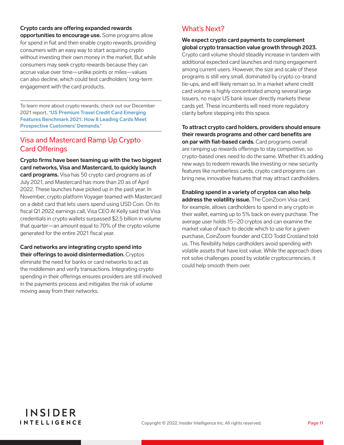#### **Crypto cards are offering expanded rewards**

**opportunities to encourage use.** Some programs allow for spend in fiat and then enable crypto rewards, providing consumers with an easy way to start acquiring crypto without investing their own money in the market. But while consumers may seek crypto rewards because they can accrue value over time—unlike points or miles—values can also decline, which could test cardholders' long-term engagement with the card products.

To learn more about crypto rewards, check out our December 2021 report, "**[US Premium Travel Credit Card Emerging](https://prolink.emarketer.com/content/us-premium-travel-credit-card-emerging-features-benchmark-2021)  [Features Benchmark 2021: How 8 Leading Cards Meet](https://prolink.emarketer.com/content/us-premium-travel-credit-card-emerging-features-benchmark-2021)  [Prospective Customers' Demands](https://prolink.emarketer.com/content/us-premium-travel-credit-card-emerging-features-benchmark-2021)**."

#### Visa and Mastercard Ramp Up Crypto Card Offerings

**Crypto firms have been teaming up with the two biggest card networks, Visa and Mastercard, to quickly launch card programs.** Visa has 50 crypto card programs as of July 2021, and Mastercard has more than 20 as of April 2022. These launches have picked up in the past year. In November, crypto platform Voyager teamed with Mastercard on a debit card that lets users spend using USD Coin. On its fiscal Q1 2022 earnings call, Visa CEO Al Kelly said that Visa credentials in crypto wallets surpassed \$2.5 billion in volume that quarter—an amount equal to 70% of the crypto volume generated for the entire 2021 fiscal year.

**Card networks are integrating crypto spend into their offerings to avoid disintermediation.** Cryptos eliminate the need for banks or card networks to act as the middlemen and verify transactions. Integrating crypto spending in their offerings ensures providers are still involved in the payments process and mitigates the risk of volume moving away from their networks.

#### What's Next?

#### **We expect crypto card payments to complement global crypto transaction value growth through 2023.**

Crypto card volume should steadily increase in tandem with additional expected card launches and rising engagement among current users. However, the size and scale of these programs is still very small, dominated by crypto co-brand tie-ups, and will likely remain so. In a market where credit card volume is highly concentrated among several large issuers, no major US bank issuer directly markets these cards yet. These incumbents will need more regulatory clarity before stepping into this space.

**To attract crypto card holders, providers should ensure their rewards programs and other card benefits are on par with fiat-based cards.** Card programs overall are ramping up rewards offerings to stay competitive, so crypto-based ones need to do the same. Whether it's adding new ways to redeem rewards like investing or new security features like numberless cards, crypto card programs can bring new, innovative features that may attract cardholders.

**Enabling spend in a variety of cryptos can also help address the volatility issue.** The CoinZoom Visa card, for example, allows cardholders to spend in any crypto in their wallet, earning up to 5% back on every purchase. The average user holds 15–20 cryptos and can examine the market value of each to decide which to use for a given purchase, CoinZoom founder and CEO Todd Crosland told us. This flexibility helps cardholders avoid spending with volatile assets that have lost value. While the approach does not solve challenges posed by volatile cryptocurrencies, it could help smooth them over.

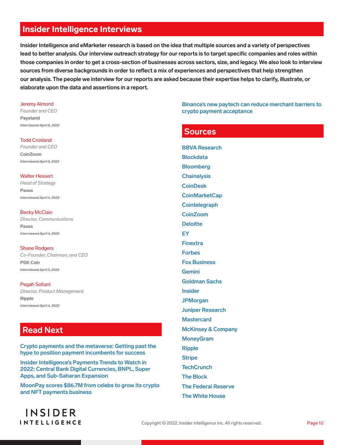### <span id="page-11-0"></span>Insider Intelligence Interviews

**Insider Intelligence and eMarketer research is based on the idea that multiple sources and a variety of perspectives lead to better analysis. Our interview outreach strategy for our reports is to target specific companies and roles within those companies in order to get a cross-section of businesses across sectors, size, and legacy. We also look to interview sources from diverse backgrounds in order to reflect a mix of experiences and perspectives that help strengthen our analysis. The people we interview for our reports are asked because their expertise helps to clarify, illustrate, or elaborate upon the data and assertions in a report.** 

#### Jeremy Almond

*Founder and CEO* Paystand *Interviewed April 8, 2022*

#### Todd Crosland

*Founder and CEO* CoinZoom *Interviewed April 5, 2022*

#### Walter Hessert

*Head of Strategy* Paxos *Interviewed April 4, 2022*

#### **Becky McClain**

*Director, Communications* Paxos *Interviewed April 4, 2022*

#### Shane Rodgers

*Co-Founder, Chairman, and CEO* PDX Coin *Interviewed April 5, 2022*

#### Pegah Soltani

*Director, Product Management* Ripple *Interviewed April 4, 2022*

#### **Read Next**

**[Crypto payments and the metaverse: Getting past the](https://prolink.emarketer.com/content/crypto-payments-metaverse-getting-past-hype-position-payment-incumbents-success)  [hype to position payment incumbents for success](https://prolink.emarketer.com/content/crypto-payments-metaverse-getting-past-hype-position-payment-incumbents-success)**

**[Insider Intelligence's Payments Trends to Watch in](https://prolink.emarketer.com/content/insider-intelligence-payments-trends-watch-2022)  [2022: Central Bank Digital Currencies, BNPL, Super](https://prolink.emarketer.com/content/insider-intelligence-payments-trends-watch-2022)  [Apps, and Sub-Saharan Expansion](https://prolink.emarketer.com/content/insider-intelligence-payments-trends-watch-2022)**

**[MoonPay scores \\$86.7M from celebs to grow its crypto](https://prolink.emarketer.com/content/moonpay-s-scores-86-7m-celebs-grow-its-crypto-nft-payments-business)  [and NFT payments business](https://prolink.emarketer.com/content/moonpay-s-scores-86-7m-celebs-grow-its-crypto-nft-payments-business)**

**[Binance's new paytech can reduce merchant barriers to](https://prolink.emarketer.com/content/binance-s-new-paytech-reduce-merchant-barriers-crypto-payment-acceptance)  [crypto payment acceptance](https://prolink.emarketer.com/content/binance-s-new-paytech-reduce-merchant-barriers-crypto-payment-acceptance)**

#### **Sources**

**[BBVA Research](https://www.bbvaresearch.com/en/) [Blockdata](https://www.blockdata.tech/) [Bloomberg](http://bloomberg.com/) [Chainalysis](http://chainalysis.com/) [CoinDesk](https://www.coindesk.com/) [CoinMarketCap](https://coinmarketcap.com/) [Cointelegraph](https://cointelegraph.com/) [CoinZoom](http://coinzoom.com/) [Deloitte](https://www2.deloitte.com/us/en.html) [EY](http://ey.com/) [Finextra](http://finextra.com/) [Forbes](http://forbes.com/) [Fox Business](https://www.foxbusiness.com/) [Gemini](https://www.gemini.com/pay) [Goldman Sachs](https://www.goldmansachs.com) [Insider](https://www.insider.com/) [JPMorgan](https://www.jpmorgan.com/global) [Juniper Research](http://juniperresearch.com/) [Mastercard](http://mastercard.com/) [McKinsey & Company](https://www.mckinsey.com/) [MoneyGram](http://moneygram.com/) [Ripple](https://ripple.com/) [Stripe](http://stripe.com/) [TechCrunch](http://techcrunch.com/) [The Block](http://theblockcrypto.com/) [The Federal Reserve](http://federalreserve.gov/)**

#### **[The White House](http://whitehouse.gov/)**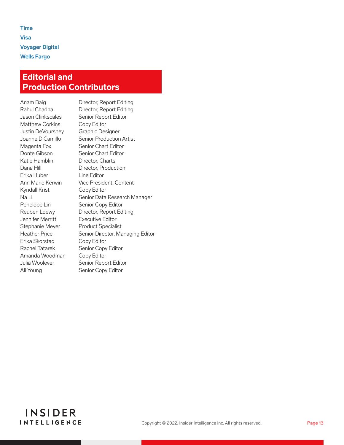#### <span id="page-12-0"></span>**[Time](http://time.com/) [Visa](https://usa.visa.com/) [Voyager Digital](http://investvoyager.com/) [Wells Fargo](https://www.wellsfargo.com/)**

### Editorial and Production Contributors

Matthew Corkins Copy Editor Justin DeVoursney Graphic Designer Katie Hamblin Director, Charts Erika Huber Line Editor Kyndall Krist Copy Editor Penelope Lin Senior Copy Editor Jennifer Merritt Executive Editor Stephanie Meyer Product Specialist Erika Skorstad Copy Editor Amanda Woodman Copy Editor Ali Young Senior Copy Editor

Anam Baig Director, Report Editing Rahul Chadha Director, Report Editing Jason Clinkscales Senior Report Editor Joanne DiCamillo Senior Production Artist Magenta Fox Senior Chart Editor Donte Gibson Senior Chart Editor Dana Hill Director, Production Ann Marie Kerwin Vice President, Content Na Li Senior Data Research Manager Reuben Loewy Director, Report Editing Heather Price Senior Director, Managing Editor Rachel Tatarek Senior Copy Editor Julia Woolever Senior Report Editor